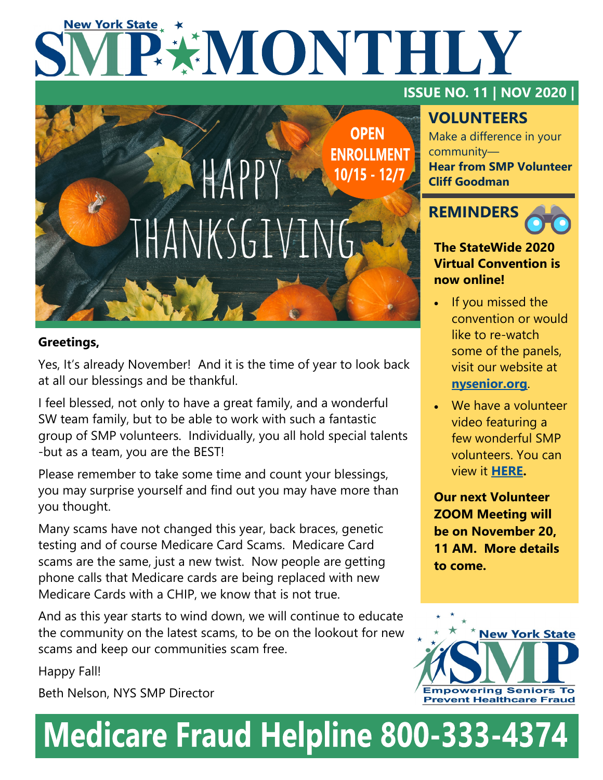# **New York State** PENONTHLY



## **Greetings,**

Yes, It's already November! And it is the time of year to look back at all our blessings and be thankful.

I feel blessed, not only to have a great family, and a wonderful SW team family, but to be able to work with such a fantastic group of SMP volunteers. Individually, you all hold special talents -but as a team, you are the BEST!

Please remember to take some time and count your blessings, you may surprise yourself and find out you may have more than you thought.

Many scams have not changed this year, back braces, genetic testing and of course Medicare Card Scams. Medicare Card scams are the same, just a new twist. Now people are getting phone calls that Medicare cards are being replaced with new Medicare Cards with a CHIP, we know that is not true.

And as this year starts to wind down, we will continue to educate the community on the latest scams, to be on the lookout for new scams and keep our communities scam free.

Happy Fall!

Beth Nelson, NYS SMP Director

# **ISSUE NO. 11 | NOV 2020 |**

# **VOLUNTEERS**

Make a difference in your community— **Hear from SMP Volunteer Cliff Goodman**



### **The StateWide 2020 Virtual Convention is now online!**

- If you missed the convention or would like to re-watch some of the panels, visit our website at **[nysenior.org](http://www.nysenior.org)**.
- We have a volunteer video featuring a few wonderful SMP volunteers. You can view it **[HERE.](https://vimeo.com/472056124)**

**Our next Volunteer ZOOM Meeting will be on November 20, 11 AM. More details to come.** 



# **Medicare Fraud Helpline 800-333-4374**